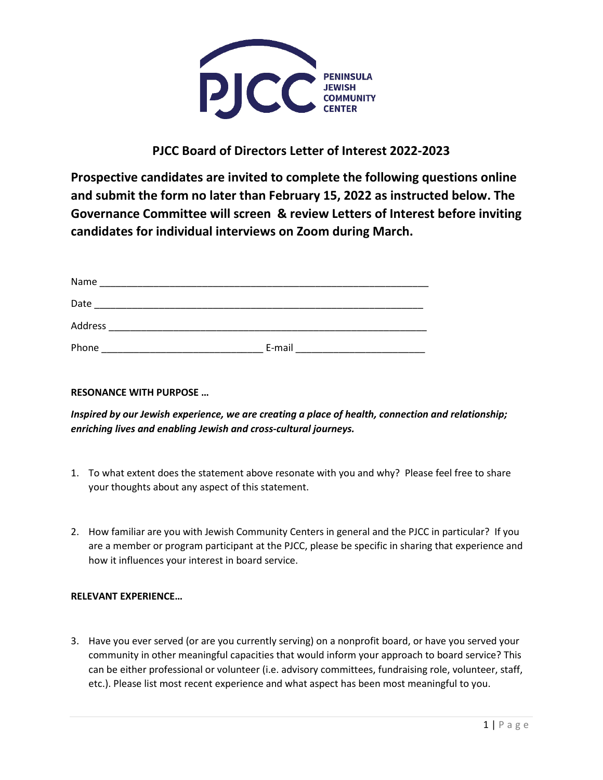

## **PJCC Board of Directors Letter of Interest 2022-2023**

**Prospective candidates are invited to complete the following questions online and submit the form no later than February 15, 2022 as instructed below. The Governance Committee will screen & review Letters of Interest before inviting candidates for individual interviews on Zoom during March.**

| Name    |        |
|---------|--------|
| Date    |        |
| Address |        |
| Phone   | E-mail |

## **RESONANCE WITH PURPOSE …**

*Inspired by our Jewish experience, we are creating a place of health, connection and relationship; enriching lives and enabling Jewish and cross-cultural journeys.*

- 1. To what extent does the statement above resonate with you and why? Please feel free to share your thoughts about any aspect of this statement.
- 2. How familiar are you with Jewish Community Centers in general and the PJCC in particular? If you are a member or program participant at the PJCC, please be specific in sharing that experience and how it influences your interest in board service.

## **RELEVANT EXPERIENCE…**

3. Have you ever served (or are you currently serving) on a nonprofit board, or have you served your community in other meaningful capacities that would inform your approach to board service? This can be either professional or volunteer (i.e. advisory committees, fundraising role, volunteer, staff, etc.). Please list most recent experience and what aspect has been most meaningful to you.